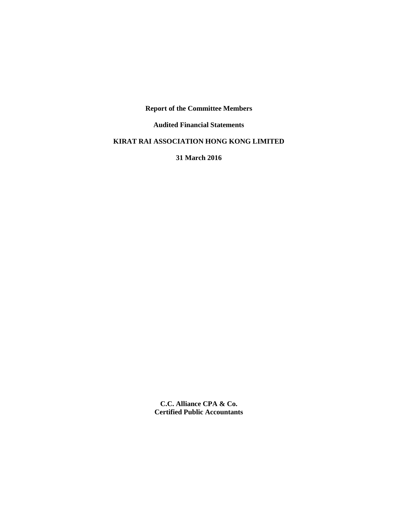**Report of the Committee Members**

**Audited Financial Statements**

# **KIRAT RAI ASSOCIATION HONG KONG LIMITED**

**31 March 2016**

**C.C. Alliance CPA & Co. Certified Public Accountants**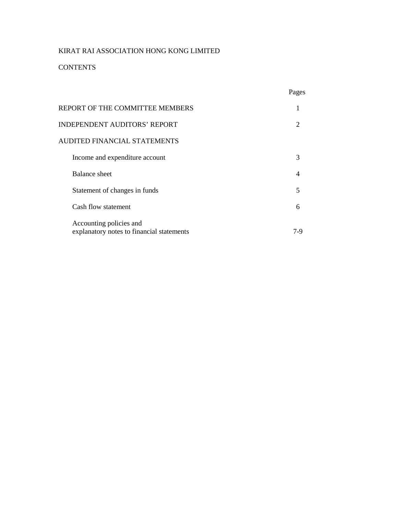# **CONTENTS**

|                                                                      | Pages          |
|----------------------------------------------------------------------|----------------|
| REPORT OF THE COMMITTEE MEMBERS                                      | 1              |
| <b>INDEPENDENT AUDITORS' REPORT</b>                                  | $\overline{2}$ |
| AUDITED FINANCIAL STATEMENTS                                         |                |
| Income and expenditure account                                       | 3              |
| Balance sheet                                                        | 4              |
| Statement of changes in funds                                        | 5              |
| Cash flow statement                                                  | 6              |
| Accounting policies and<br>explanatory notes to financial statements | 7-9            |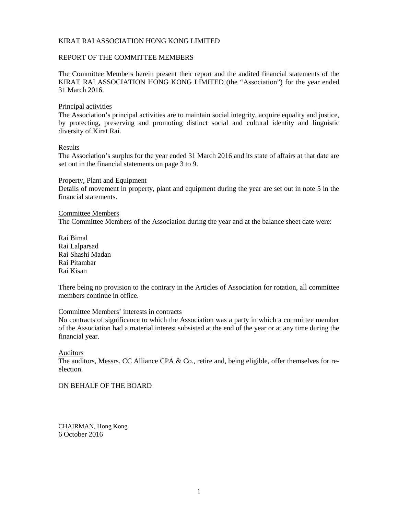### REPORT OF THE COMMITTEE MEMBERS

The Committee Members herein present their report and the audited financial statements of the KIRAT RAI ASSOCIATION HONG KONG LIMITED (the "Association") for the year ended 31 March 2016.

### Principal activities

The Association's principal activities are to maintain social integrity, acquire equality and justice, by protecting, preserving and promoting distinct social and cultural identity and linguistic diversity of Kirat Rai.

#### Results

The Association's surplus for the year ended 31 March 2016 and its state of affairs at that date are set out in the financial statements on page 3 to 9.

#### Property, Plant and Equipment

Details of movement in property, plant and equipment during the year are set out in note 5 in the financial statements.

Committee Members The Committee Members of the Association during the year and at the balance sheet date were:

Rai Bimal Rai Lalparsad Rai Shashi Madan Rai Pitambar Rai Kisan

There being no provision to the contrary in the Articles of Association for rotation, all committee members continue in office.

### Committee Members' interests in contracts

No contracts of significance to which the Association was a party in which a committee member of the Association had a material interest subsisted at the end of the year or at any time during the financial year.

### **Auditors**

The auditors, Messrs. CC Alliance CPA  $&$  Co., retire and, being eligible, offer themselves for reelection.

## ON BEHALF OF THE BOARD

CHAIRMAN, Hong Kong 6 October 2016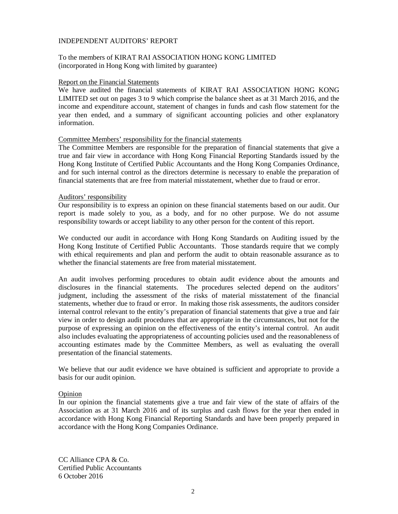### INDEPENDENT AUDITORS' REPORT

## To the members of KIRAT RAI ASSOCIATION HONG KONG LIMITED (incorporated in Hong Kong with limited by guarantee)

#### Report on the Financial Statements

We have audited the financial statements of KIRAT RAI ASSOCIATION HONG KONG LIMITED set out on pages 3 to 9 which comprise the balance sheet as at 31 March 2016, and the income and expenditure account, statement of changes in funds and cash flow statement for the year then ended, and a summary of significant accounting policies and other explanatory information.

### Committee Members' responsibility for the financial statements

The Committee Members are responsible for the preparation of financial statements that give a true and fair view in accordance with Hong Kong Financial Reporting Standards issued by the Hong Kong Institute of Certified Public Accountants and the Hong Kong Companies Ordinance, and for such internal control as the directors determine is necessary to enable the preparation of financial statements that are free from material misstatement, whether due to fraud or error.

#### Auditors' responsibility

Our responsibility is to express an opinion on these financial statements based on our audit. Our report is made solely to you, as a body, and for no other purpose. We do not assume responsibility towards or accept liability to any other person for the content of this report.

We conducted our audit in accordance with Hong Kong Standards on Auditing issued by the Hong Kong Institute of Certified Public Accountants. Those standards require that we comply with ethical requirements and plan and perform the audit to obtain reasonable assurance as to whether the financial statements are free from material misstatement.

An audit involves performing procedures to obtain audit evidence about the amounts and disclosures in the financial statements. The procedures selected depend on the auditors' judgment, including the assessment of the risks of material misstatement of the financial statements, whether due to fraud or error. In making those risk assessments, the auditors consider internal control relevant to the entity's preparation of financial statements that give a true and fair view in order to design audit procedures that are appropriate in the circumstances, but not for the purpose of expressing an opinion on the effectiveness of the entity's internal control. An audit also includes evaluating the appropriateness of accounting policies used and the reasonableness of accounting estimates made by the Committee Members, as well as evaluating the overall presentation of the financial statements.

We believe that our audit evidence we have obtained is sufficient and appropriate to provide a basis for our audit opinion.

### Opinion

In our opinion the financial statements give a true and fair view of the state of affairs of the Association as at 31 March 2016 and of its surplus and cash flows for the year then ended in accordance with Hong Kong Financial Reporting Standards and have been properly prepared in accordance with the Hong Kong Companies Ordinance.

CC Alliance CPA & Co. Certified Public Accountants 6 October 2016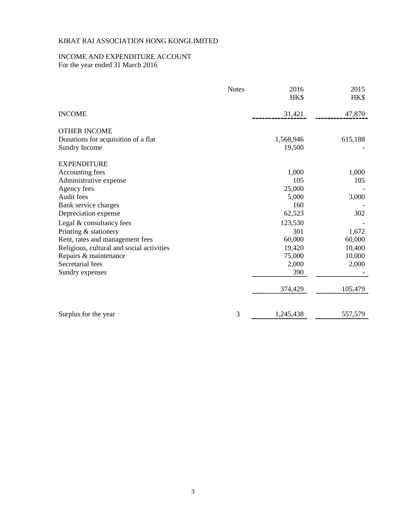# INCOME AND EXPENDITURE ACCOUNT For the year ended 31 March 2016

|                                           | <b>Notes</b> | 2016<br>HK\$ | 2015<br>HK\$ |
|-------------------------------------------|--------------|--------------|--------------|
| <b>INCOME</b>                             |              | 31,421       | 47,870       |
| <b>OTHER INCOME</b>                       |              |              |              |
| Donations for acquisition of a flat       |              | 1,568,946    | 615,188      |
| Sundry Income                             |              | 19,500       |              |
| <b>EXPENDITURE</b>                        |              |              |              |
| Accounting fees                           |              | 1,000        | 1,000        |
| Administrative expense                    |              | 105          | 105          |
| Agency fees                               |              | 25,000       |              |
| Audit fees                                |              | 5,000        | 3,000        |
| Bank service charges                      |              | 160          |              |
| Depreciation expense                      |              | 62,523       | 302          |
| Legal & consultancy fees                  |              | 123,530      |              |
| Printing & stationery                     |              | 301          | 1,672        |
| Rent, rates and management fees           |              | 60,000       | 60,000       |
| Religious, cultural and social activities |              | 19,420       | 10,400       |
| Repairs & maintenance                     |              | 75,000       | 10,000       |
| Secretarial fees                          |              | 2,000        | 2,000        |
| Sundry expenses                           |              | 390          |              |
|                                           |              | 374,429      | 105,479      |
| Surplus for the year                      | 3            | 1,245,438    | 557,579      |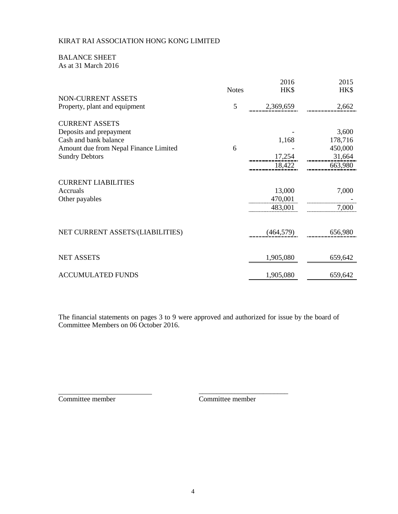## BALANCE SHEET As at 31 March 2016

|                                       |              | 2016       | 2015    |  |
|---------------------------------------|--------------|------------|---------|--|
|                                       | <b>Notes</b> | HK\$       | HK\$    |  |
| <b>NON-CURRENT ASSETS</b>             |              |            |         |  |
| Property, plant and equipment         | 5            | 2,369,659  | 2,662   |  |
| <b>CURRENT ASSETS</b>                 |              |            |         |  |
| Deposits and prepayment               |              |            | 3,600   |  |
| Cash and bank balance                 |              | 1,168      | 178,716 |  |
| Amount due from Nepal Finance Limited | 6            |            | 450,000 |  |
| <b>Sundry Debtors</b>                 |              | 17,254     | 31,664  |  |
|                                       |              | 18,422     | 663,980 |  |
| <b>CURRENT LIABILITIES</b>            |              |            |         |  |
| Accruals                              |              | 13,000     | 7,000   |  |
| Other payables                        |              | 470,001    |         |  |
|                                       |              | 483,001    | 7,000   |  |
|                                       |              |            |         |  |
| NET CURRENT ASSETS/(LIABILITIES)      |              | (464, 579) | 656,980 |  |
|                                       |              |            |         |  |
| <b>NET ASSETS</b>                     |              | 1,905,080  | 659,642 |  |
| <b>ACCUMULATED FUNDS</b>              |              | 1,905,080  | 659,642 |  |

The financial statements on pages 3 to 9 were approved and authorized for issue by the board of Committee Members on 06 October 2016.

 $\sim$  100  $\mu$ 

Committee member Committee member

\_\_\_\_\_\_\_\_\_\_\_\_\_\_\_\_\_\_\_\_\_\_\_\_\_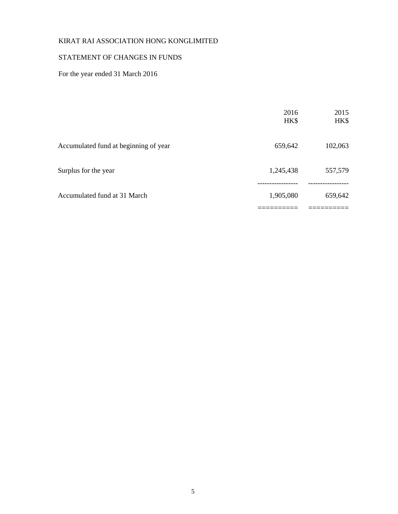# STATEMENT OF CHANGES IN FUNDS

# For the year ended 31 March 2016

| 2016<br>HK\$ | 2015<br>HK\$ |  |
|--------------|--------------|--|
| 659,642      | 102,063      |  |
| 1,245,438    | 557,579      |  |
| 1,905,080    | 659,642      |  |
|              |              |  |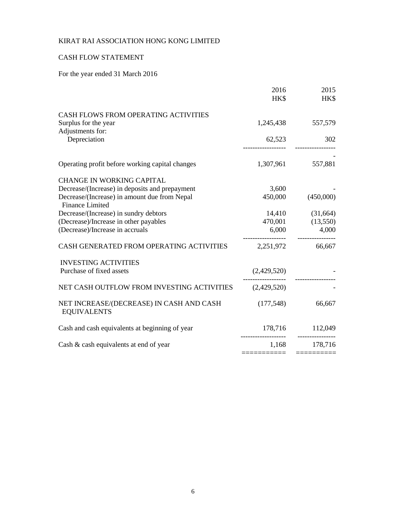# CASH FLOW STATEMENT

# For the year ended 31 March 2016

|                                                                 | 2016<br>HK\$ | 2015<br>HK\$      |
|-----------------------------------------------------------------|--------------|-------------------|
| CASH FLOWS FROM OPERATING ACTIVITIES                            |              |                   |
| Surplus for the year                                            | 1,245,438    | 557,579           |
| Adjustments for:                                                |              |                   |
| Depreciation                                                    | 62,523       | 302               |
| Operating profit before working capital changes                 |              | 1,307,961 557,881 |
|                                                                 |              |                   |
| <b>CHANGE IN WORKING CAPITAL</b>                                |              |                   |
| Decrease/(Increase) in deposits and prepayment                  | 3,600        |                   |
| Decrease/(Increase) in amount due from Nepal<br>Finance Limited | 450,000      | (450,000)         |
| Decrease/(Increase) in sundry debtors                           | 14,410       | (31,664)          |
| (Decrease)/Increase in other payables                           |              | 470,001 (13,550)  |
| (Decrease)/Increase in accruals                                 | 6,000        | 4,000             |
| CASH GENERATED FROM OPERATING ACTIVITIES                        | 2,251,972    | 66,667            |
| <b>INVESTING ACTIVITIES</b>                                     |              |                   |
| Purchase of fixed assets                                        | (2,429,520)  |                   |
| NET CASH OUTFLOW FROM INVESTING ACTIVITIES                      | (2,429,520)  |                   |
| NET INCREASE/(DECREASE) IN CASH AND CASH<br><b>EQUIVALENTS</b>  | (177,548)    | 66,667            |
| Cash and cash equivalents at beginning of year                  |              | 178,716 112,049   |
| Cash & cash equivalents at end of year                          | 1,168        | 178,716           |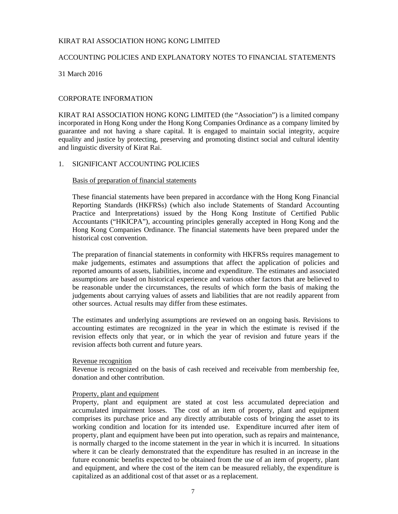## ACCOUNTING POLICIES AND EXPLANATORY NOTES TO FINANCIAL STATEMENTS

31 March 2016

## CORPORATE INFORMATION

KIRAT RAI ASSOCIATION HONG KONG LIMITED (the "Association") is a limited company incorporated in Hong Kong under the Hong Kong Companies Ordinance as a company limited by guarantee and not having a share capital. It is engaged to maintain social integrity, acquire equality and justice by protecting, preserving and promoting distinct social and cultural identity and linguistic diversity of Kirat Rai.

## 1. SIGNIFICANT ACCOUNTING POLICIES

### Basis of preparation of financial statements

These financial statements have been prepared in accordance with the Hong Kong Financial Reporting Standards (HKFRSs) (which also include Statements of Standard Accounting Practice and Interpretations) issued by the Hong Kong Institute of Certified Public Accountants ("HKICPA"), accounting principles generally accepted in Hong Kong and the Hong Kong Companies Ordinance. The financial statements have been prepared under the historical cost convention.

The preparation of financial statements in conformity with HKFRSs requires management to make judgements, estimates and assumptions that affect the application of policies and reported amounts of assets, liabilities, income and expenditure. The estimates and associated assumptions are based on historical experience and various other factors that are believed to be reasonable under the circumstances, the results of which form the basis of making the judgements about carrying values of assets and liabilities that are not readily apparent from other sources. Actual results may differ from these estimates.

The estimates and underlying assumptions are reviewed on an ongoing basis. Revisions to accounting estimates are recognized in the year in which the estimate is revised if the revision effects only that year, or in which the year of revision and future years if the revision affects both current and future years.

### Revenue recognition

Revenue is recognized on the basis of cash received and receivable from membership fee, donation and other contribution.

### Property, plant and equipment

Property, plant and equipment are stated at cost less accumulated depreciation and accumulated impairment losses. The cost of an item of property, plant and equipment comprises its purchase price and any directly attributable costs of bringing the asset to its working condition and location for its intended use. Expenditure incurred after item of property, plant and equipment have been put into operation, such as repairs and maintenance, is normally charged to the income statement in the year in which it is incurred. In situations where it can be clearly demonstrated that the expenditure has resulted in an increase in the future economic benefits expected to be obtained from the use of an item of property, plant and equipment, and where the cost of the item can be measured reliably, the expenditure is capitalized as an additional cost of that asset or as a replacement.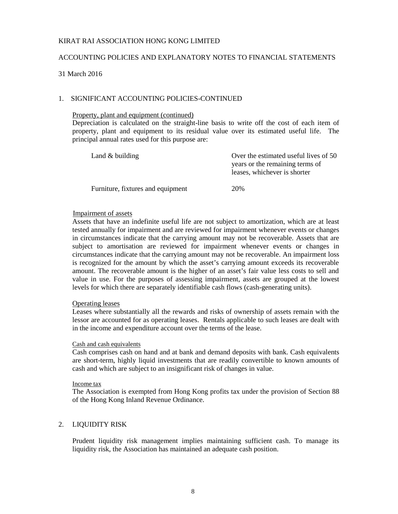## ACCOUNTING POLICIES AND EXPLANATORY NOTES TO FINANCIAL STATEMENTS

### 31 March 2016

## 1. SIGNIFICANT ACCOUNTING POLICIES-CONTINUED

#### Property, plant and equipment (continued)

Depreciation is calculated on the straight-line basis to write off the cost of each item of property, plant and equipment to its residual value over its estimated useful life. The principal annual rates used for this purpose are:

| Land $&$ building                 | Over the estimated useful lives of 50<br>years or the remaining terms of<br>leases, whichever is shorter |
|-----------------------------------|----------------------------------------------------------------------------------------------------------|
| Furniture, fixtures and equipment | 20%                                                                                                      |

### Impairment of assets

Assets that have an indefinite useful life are not subject to amortization, which are at least tested annually for impairment and are reviewed for impairment whenever events or changes in circumstances indicate that the carrying amount may not be recoverable. Assets that are subject to amortisation are reviewed for impairment whenever events or changes in circumstances indicate that the carrying amount may not be recoverable. An impairment loss is recognized for the amount by which the asset's carrying amount exceeds its recoverable amount. The recoverable amount is the higher of an asset's fair value less costs to sell and value in use. For the purposes of assessing impairment, assets are grouped at the lowest levels for which there are separately identifiable cash flows (cash-generating units).

### Operating leases

Leases where substantially all the rewards and risks of ownership of assets remain with the lessor are accounted for as operating leases. Rentals applicable to such leases are dealt with in the income and expenditure account over the terms of the lease.

### Cash and cash equivalents

Cash comprises cash on hand and at bank and demand deposits with bank. Cash equivalents are short-term, highly liquid investments that are readily convertible to known amounts of cash and which are subject to an insignificant risk of changes in value.

#### Income tax

The Association is exempted from Hong Kong profits tax under the provision of Section 88 of the Hong Kong Inland Revenue Ordinance.

### 2. LIQUIDITY RISK

Prudent liquidity risk management implies maintaining sufficient cash. To manage its liquidity risk, the Association has maintained an adequate cash position.